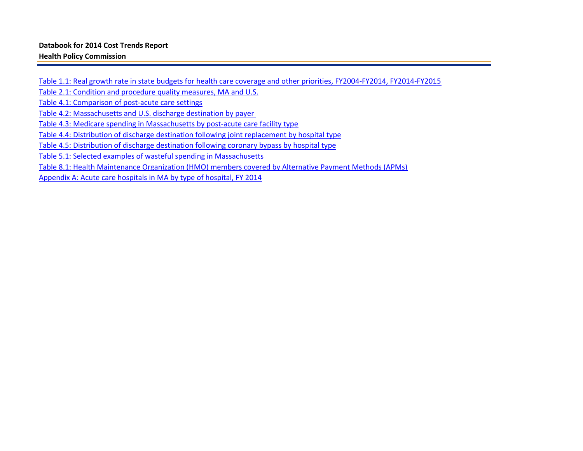Table 1.1: Real growth rate in state budgets for health care coverage and other priorities, FY2004-FY2014, FY2014-FY2015 Table 2.1: Condition and procedure quality measures, MA and U.S. Table 4.1: Comparison of post-acute care settings Table 4.2: Massachusetts and U.S. discharge destination by payer Table 4.3: Medicare spending in Massachusetts by post-acute care facility type Table 4.4: Distribution of discharge destination following joint replacement by hospital type Table 4.5: Distribution of discharge destination following coronary bypass by hospital type Table 5.1: Selected examples of wasteful spending in Massachusetts Table 8.1: Health Maintenance Organization (HMO) members covered by Alternative Payment Methods (APMs) Appendix A: Acute care hospitals in MA by type of hospital, FY 2014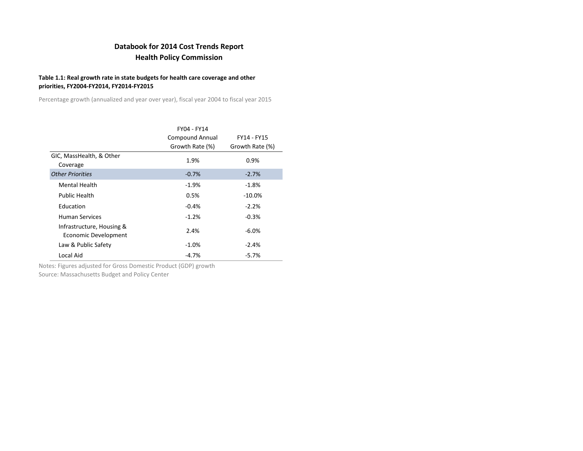### **Table 1.1: Real growth rate in state budgets for health care coverage and other priorities, FY2004-FY2014, FY2014-FY2015**

Percentage growth (annualized and year over year), fiscal year 2004 to fiscal year 2015

|                                                   | FY04 - FY14            |                 |
|---------------------------------------------------|------------------------|-----------------|
|                                                   | <b>Compound Annual</b> | FY14 - FY15     |
|                                                   | Growth Rate (%)        | Growth Rate (%) |
| GIC, MassHealth, & Other<br>Coverage              | 1.9%                   | 0.9%            |
| <b>Other Priorities</b>                           | $-0.7%$                | $-2.7%$         |
| <b>Mental Health</b>                              | $-1.9%$                | $-1.8%$         |
| <b>Public Health</b>                              | 0.5%                   | $-10.0\%$       |
| Education                                         | $-0.4%$                | $-2.2%$         |
| <b>Human Services</b>                             | $-1.2%$                | $-0.3%$         |
| Infrastructure, Housing &<br>Economic Development | 2.4%                   | $-6.0%$         |
| Law & Public Safety                               | $-1.0\%$               | $-2.4%$         |
| Local Aid                                         | $-4.7%$                | $-5.7%$         |

Notes: Figures adjusted for Gross Domestic Product (GDP) growth

Source: Massachusetts Budget and Policy Center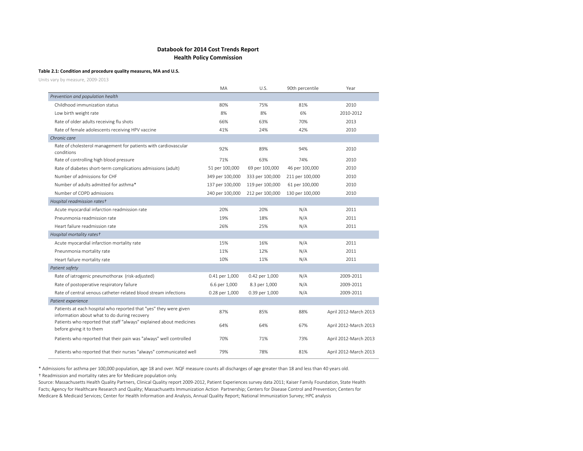#### **Table 2.1: Condition and procedure quality measures, MA and U.S.**

Units vary by measure, 2009-2013

|                                                                                                                   | MA              | U.S.            | 90th percentile | Year                  |
|-------------------------------------------------------------------------------------------------------------------|-----------------|-----------------|-----------------|-----------------------|
| Prevention and population health                                                                                  |                 |                 |                 |                       |
| Childhood immunization status                                                                                     | 80%             | 75%             | 81%             | 2010                  |
| Low birth weight rate                                                                                             | 8%              | 8%              | 6%              | 2010-2012             |
| Rate of older adults receiving flu shots                                                                          | 66%             | 63%             | 70%             | 2013                  |
| Rate of female adolescents receiving HPV vaccine                                                                  | 41%             | 24%             | 42%             | 2010                  |
| Chronic care                                                                                                      |                 |                 |                 |                       |
| Rate of cholesterol management for patients with cardiovascular<br>conditions                                     | 92%             | 89%             | 94%             | 2010                  |
| Rate of controlling high blood pressure                                                                           | 71%             | 63%             | 74%             | 2010                  |
| Rate of diabetes short-term complications admissions (adult)                                                      | 51 per 100,000  | 69 per 100,000  | 46 per 100,000  | 2010                  |
| Number of admissions for CHF                                                                                      | 349 per 100,000 | 333 per 100,000 | 211 per 100,000 | 2010                  |
| Number of adults admitted for asthma*                                                                             | 137 per 100,000 | 119 per 100,000 | 61 per 100,000  | 2010                  |
| Number of COPD admissions                                                                                         | 240 per 100,000 | 212 per 100,000 | 130 per 100,000 | 2010                  |
| Hospital readmission rates+                                                                                       |                 |                 |                 |                       |
| Acute myocardial infarction readmission rate                                                                      | 20%             | 20%             | N/A             | 2011                  |
| Pneunmonia readmission rate                                                                                       | 19%             | 18%             | N/A             | 2011                  |
| Heart failure readmission rate                                                                                    | 26%             | 25%             | N/A             | 2011                  |
| Hospital mortality rates+                                                                                         |                 |                 |                 |                       |
| Acute myocardial infarction mortality rate                                                                        | 15%             | 16%             | N/A             | 2011                  |
| Pneunmonia mortality rate                                                                                         | 11%             | 12%             | N/A             | 2011                  |
| Heart failure mortality rate                                                                                      | 10%             | 11%             | N/A             | 2011                  |
| Patient safety                                                                                                    |                 |                 |                 |                       |
| Rate of iatrogenic pneumothorax (risk-adjusted)                                                                   | 0.41 per 1,000  | 0.42 per 1,000  | N/A             | 2009-2011             |
| Rate of postoperative respiratory failure                                                                         | 6.6 per 1,000   | 8.3 per 1,000   | N/A             | 2009-2011             |
| Rate of central venous catheter-related blood stream infections                                                   | 0.28 per 1,000  | 0.39 per 1,000  | N/A             | 2009-2011             |
| Patient experience                                                                                                |                 |                 |                 |                       |
| Patients at each hospital who reported that "yes" they were given<br>information about what to do during recovery | 87%             | 85%             | 88%             | April 2012-March 2013 |
| Patients who reported that staff "always" explained about medicines<br>before giving it to them                   | 64%             | 64%             | 67%             | April 2012-March 2013 |
| Patients who reported that their pain was "always" well controlled                                                | 70%             | 71%             | 73%             | April 2012-March 2013 |
| Patients who reported that their nurses "always" communicated well                                                | 79%             | 78%             | 81%             | April 2012-March 2013 |

\* Admissions for asthma per 100,000 population, age 18 and over. NQF measure counts all discharges of age greater than 18 and less than 40 years old. † Readmission and mortality rates are for Medicare population only.

Source: Massachusetts Health Quality Partners, Clinical Quality report 2009-2012, Patient Experiences survey data 2011; Kaiser Family Foundation, State Health Facts; Agency for Healthcare Research and Quality; Massachusetts Immunization Action Partnership; Centers for Disease Control and Prevention; Centers for Medicare & Medicaid Services; Center for Health Information and Analysis, Annual Quality Report; National Immunization Survey; HPC analysis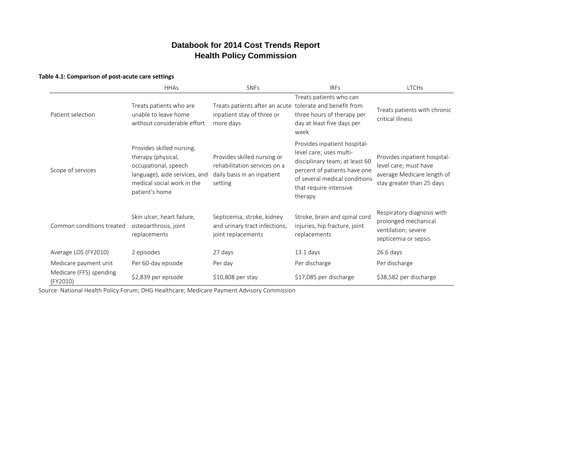#### **Table 4.1: Comparison of post-acute care settings**

|                                     | <b>HHAs</b>                                                                                                                                              | <b>SNFs</b>                                                                                           | <b>IRFS</b>                                                                                                                                                                                     | <b>LTCHs</b>                                                                                                     |
|-------------------------------------|----------------------------------------------------------------------------------------------------------------------------------------------------------|-------------------------------------------------------------------------------------------------------|-------------------------------------------------------------------------------------------------------------------------------------------------------------------------------------------------|------------------------------------------------------------------------------------------------------------------|
| Patient selection                   | Treats patients who are<br>unable to leave home<br>without considerable effort                                                                           | Treats patients after an acute tolerate and benefit from<br>inpatient stay of three or<br>more days   | Treats patients who can<br>three hours of therapy per<br>day at least five days per<br>week                                                                                                     | Treats patients with chronic<br>critical illness                                                                 |
| Scope of services                   | Provides skilled nursing,<br>therapy (physical,<br>occupational, speech<br>language), aide services, and<br>medical social work in the<br>patient's home | Provides skilled nursing or<br>rehabilitation services on a<br>daily basis in an inpatient<br>setting | Provides inpatient hospital-<br>level care; uses multi-<br>disciplinary team; at least 60<br>percent of patients have one<br>of several medical conditions<br>that require intensive<br>therapy | Provides inpatient hospital-<br>level care; must have<br>average Medicare length of<br>stay greater than 25 days |
| Common conditions treated           | Skin ulcer, heart failure,<br>osteoarthrosis, joint<br>replacements                                                                                      | Septicemia, stroke, kidney<br>and urinary tract infections,<br>joint replacements                     | Stroke, brain and spinal cord<br>injuries, hip fracture, joint<br>replacements                                                                                                                  | Respiratory diagnosis with<br>prolonged mechanical<br>ventilation; severe<br>septicemia or sepsis                |
| Average LOS (FY2010)                | 2 episodes                                                                                                                                               | 27 days                                                                                               | $13.1$ days                                                                                                                                                                                     | $26.6$ days                                                                                                      |
| Medicare payment unit               | Per 60-day episode                                                                                                                                       | Per day                                                                                               | Per discharge                                                                                                                                                                                   | Per discharge                                                                                                    |
| Medicare (FFS) spending<br>(FY2010) | \$2,839 per episode                                                                                                                                      | \$10,808 per stay                                                                                     | \$17,085 per discharge                                                                                                                                                                          | \$38,582 per discharge                                                                                           |

Source: National Health Policy Forum; DHG Healthcare; Medicare Payment Advisory Commission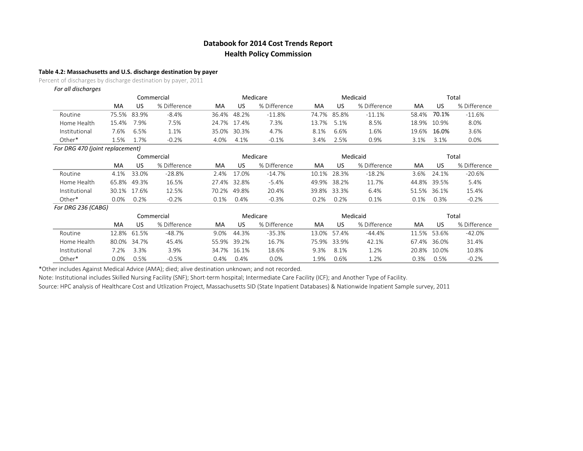#### **Table 4.2: Massachusetts and U.S. discharge destination by payer**

Percent of discharges by discharge destination by payer, 2011

| For all discharges              |       |             |              |             |             |              |         |             |              |       |             |              |
|---------------------------------|-------|-------------|--------------|-------------|-------------|--------------|---------|-------------|--------------|-------|-------------|--------------|
|                                 |       |             | Commercial   |             |             | Medicare     |         |             | Medicaid     |       |             | Total        |
|                                 | MA    | US          | % Difference | MA          | US          | % Difference | МA      | US          | % Difference | MA    | US          | % Difference |
| Routine                         |       | 75.5% 83.9% | $-8.4%$      | 36.4% 48.2% |             | $-11.8%$     |         | 74.7% 85.8% | $-11.1%$     |       | 58.4% 70.1% | $-11.6%$     |
| Home Health                     | 15.4% | 7.9%        | 7.5%         |             | 24.7% 17.4% | 7.3%         |         | 13.7% 5.1%  | 8.5%         |       | 18.9% 10.9% | 8.0%         |
| Institutional                   | 7.6%  | 6.5%        | 1.1%         | 35.0% 30.3% |             | 4.7%         | 8.1%    | 6.6%        | 1.6%         | 19.6% | 16.0%       | 3.6%         |
| Other*                          | 5%    | 1.7%        | $-0.2%$      | 4.0%        | 4.1%        | $-0.1%$      | $3.4\%$ | 2.5%        | 0.9%         | 3.1%  | 3.1%        | 0.0%         |
| For DRG 470 (joint renlacement) |       |             |              |             |             |              |         |             |              |       |             |              |

|                    |      |             | Commercial   |      |             | Medicare     |      |             | Medicaid     |             |             | Total        |
|--------------------|------|-------------|--------------|------|-------------|--------------|------|-------------|--------------|-------------|-------------|--------------|
|                    | MA   | US          | % Difference | MA   | US          | % Difference | MA   | US          | % Difference | MA          | US          | % Difference |
| Routine            |      | 4.1% 33.0%  | -28.8%       |      | 2.4% 17.0%  | -14.7%       |      | 10.1% 28.3% | $-18.2%$     |             | 3.6% 24.1%  | -20.6%       |
| Home Health        |      | 65.8% 49.3% | 16.5%        |      | 27.4% 32.8% | $-5.4%$      |      | 49.9% 38.2% | 11.7%        |             | 44.8% 39.5% | 5.4%         |
| Institutional      |      | 30.1% 17.6% | 12.5%        |      | 70.2% 49.8% | 20.4%        |      | 39.8% 33.3% | 6.4%         | 51.5% 36.1% |             | 15.4%        |
| Other*             | 0.0% | $0.2\%$     | $-0.2%$      | 0.1% | 0.4%        | $-0.3%$      | 0.2% | 0.2%        | 0.1%         | $0.1\%$     | 0.3%        | $-0.2%$      |
| For DRG 236 (CABG) |      |             |              |      |             |              |      |             |              |             |             |              |

|               |      |             | Commercial   |         |             | Medicare     |      |             | Medicaid     |       |             | Total        |
|---------------|------|-------------|--------------|---------|-------------|--------------|------|-------------|--------------|-------|-------------|--------------|
|               | MA   | US          | % Difference | MA      | US          | % Difference | MA   | US          | % Difference | MA    | US          | % Difference |
| Routine       |      | 12.8% 61.5% | $-48.7%$     | 9.0%    | 44.3%       | -35.3%       |      | 13.0% 57.4% | -44.4%       |       | 11.5% 53.6% | $-42.0%$     |
| Home Health   |      | 80.0% 34.7% | 45.4%        |         | 55.9% 39.2% | 16.7%        |      | 75.9% 33.9% | 42.1%        |       | 67.4% 36.0% | 31.4%        |
| Institutional | 7.2% | 3.3%        | 3.9%         |         | 34.7% 16.1% | 18.6%        | 9.3% | 8.1%        | 1.2%         | 20.8% | 10.0%       | 10.8%        |
| Other*        | 0.0% | 0.5%        | $-0.5%$      | $0.4\%$ | 0.4%        | 0.0%         | 9%   | 0.6%        | .2%          | ).3%  | 0.5%        | $-0.2%$      |

\*Other includes Against Medical Advice (AMA); died; alive destination unknown; and not recorded.

Note: Institutional includes Skilled Nursing Facility (SNF); Short-term hospital; Intermediate Care Facility (ICF); and Another Type of Facility.

Source: HPC analysis of Healthcare Cost and Utlization Project, Massachusetts SID (State Inpatient Databases) & Nationwide Inpatient Sample survey, 2011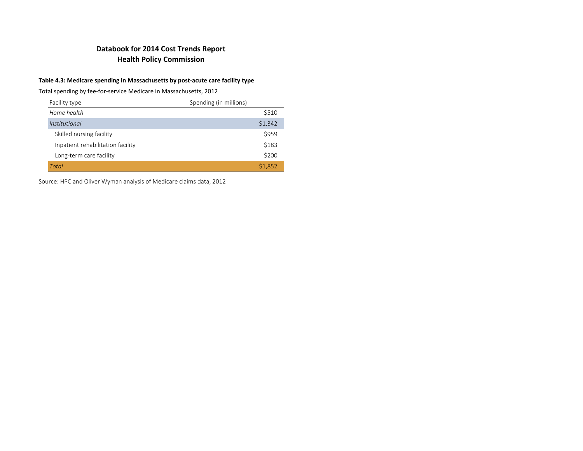### **Table 4.3: Medicare spending in Massachusetts by post-acute care facility type**

Total spending by fee-for-service Medicare in Massachusetts, 2012

| Facility type                     | Spending (in millions) |
|-----------------------------------|------------------------|
| Home health                       | \$510                  |
| Institutional                     | \$1,342                |
| Skilled nursing facility          | \$959                  |
| Inpatient rehabilitation facility | \$183                  |
| Long-term care facility           | \$200                  |
| Total                             | \$1,852                |

Source: HPC and Oliver Wyman analysis of Medicare claims data, 2012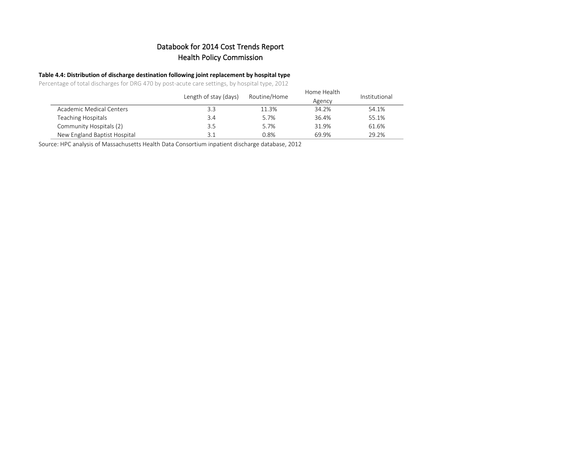### **Table 4.4: Distribution of discharge destination following joint replacement by hospital type**

Percentage of total discharges for DRG 470 by post-acute care settings, by hospital type, 2012

|                              | Length of stay (days) | Routine/Home | Home Health<br>Agency | Institutional |
|------------------------------|-----------------------|--------------|-----------------------|---------------|
| Academic Medical Centers     | 3.3                   | 11.3%        | 34.2%                 | 54.1%         |
| Teaching Hospitals           | 3.4                   | 5.7%         | 36.4%                 | 55.1%         |
| Community Hospitals (2)      | 3.5                   | 5.7%         | 31.9%                 | 61.6%         |
| New England Baptist Hospital | 3.1                   | 0.8%         | 69.9%                 | 29.2%         |

Source: HPC analysis of Massachusetts Health Data Consortium inpatient discharge database, 2012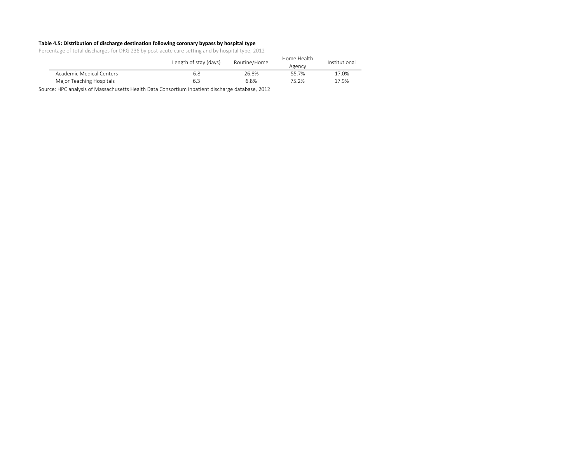#### **Table 4.5: Distribution of discharge destination following coronary bypass by hospital type**

Percentage of total discharges for DRG 236 by post-acute care setting and by hospital type, 2012

|                          | Length of stay (days) | Routine/Home | Home Health<br>Agency | Institutional |
|--------------------------|-----------------------|--------------|-----------------------|---------------|
| Academic Medical Centers | 6.8                   | 26.8%        | 557%                  | 17.0%         |
| Major Teaching Hospitals |                       | 6.8%         | 75.2%                 | 17.9%         |

Source: HPC analysis of Massachusetts Health Data Consortium inpatient discharge database, 2012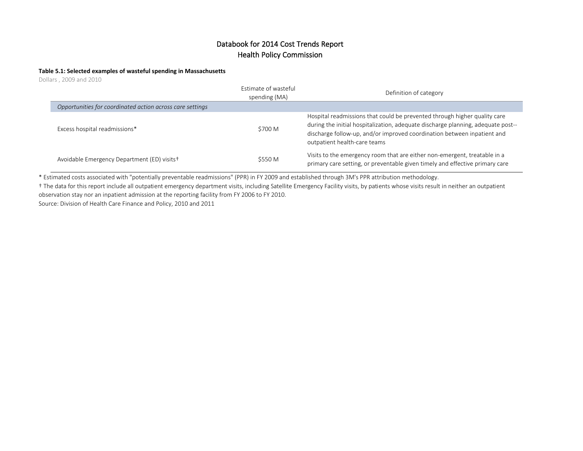#### **Table 5.1: Selected examples of wasteful spending in Massachusetts**

Dollars , 2009 and 2010

|                                                           | Estimate of wasteful<br>spending (MA) | Definition of category                                                                                                                                                                                                                                                   |
|-----------------------------------------------------------|---------------------------------------|--------------------------------------------------------------------------------------------------------------------------------------------------------------------------------------------------------------------------------------------------------------------------|
| Opportunities for coordinated action across care settings |                                       |                                                                                                                                                                                                                                                                          |
| Excess hospital readmissions*                             | \$700 M                               | Hospital readmissions that could be prevented through higher quality care<br>during the initial hospitalization, adequate discharge planning, adequate post--<br>discharge follow-up, and/or improved coordination between inpatient and<br>outpatient health-care teams |
| Avoidable Emergency Department (ED) visits <sup>+</sup>   | \$550 M                               | Visits to the emergency room that are either non-emergent, treatable in a<br>primary care setting, or preventable given timely and effective primary care                                                                                                                |

\* Estimated costs associated with "potentially preventable readmissions" (PPR) in FY 2009 and established through 3M's PPR attribution methodology.

† The data for this report include all outpatient emergency department visits, including Satellite Emergency Facility visits, by patients whose visits result in neither an outpatient observation stay nor an inpatient admission at the reporting facility from FY 2006 to FY 2010.

Source: Division of Health Care Finance and Policy, 2010 and 2011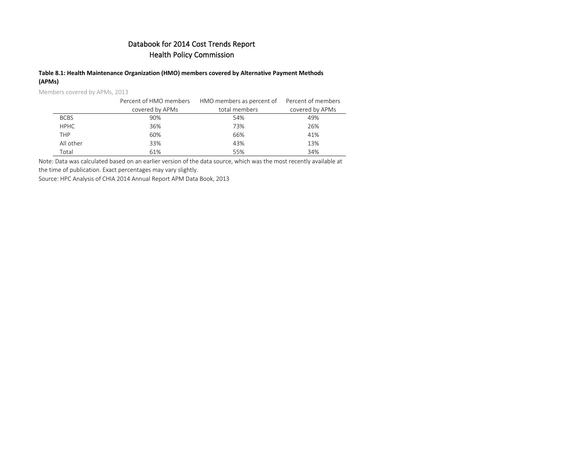#### **Table 8.1: Health Maintenance Organization (HMO) members covered by Alternative Payment Methods (APMs)**

Members covered by APMs, 2013

|             | Percent of HMO members | HMO members as percent of Percent of members |                 |
|-------------|------------------------|----------------------------------------------|-----------------|
|             | covered by APMs        | total members                                | covered by APMs |
| <b>BCBS</b> | 90%                    | 54%                                          | 49%             |
| <b>HPHC</b> | 36%                    | 73%                                          | 26%             |
| <b>THP</b>  | 60%                    | 66%                                          | 41%             |
| All other   | 33%                    | 43%                                          | 13%             |
| Total       | 61%                    | 55%                                          | 34%             |

Note: Data was calculated based on an earlier version of the data source, which was the most recently available at

the time of publication. Exact percentages may vary slightly.

Source: HPC Analysis of CHIA 2014 Annual Report APM Data Book, 2013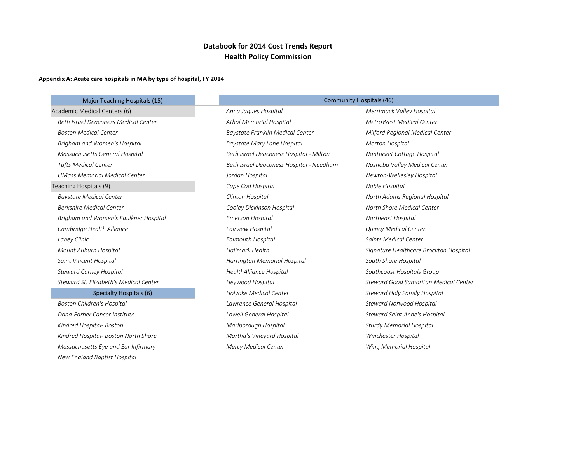#### **Appendix A: Acute care hospitals in MA by type of hospital, FY 2014**

 *New England Baptist Hospital*

| Major Teaching Hospitals (15)               |                                          | <b>Community Hospitals (46)</b>        |
|---------------------------------------------|------------------------------------------|----------------------------------------|
| Academic Medical Centers (6)                | Anna Jaques Hospital                     | Merrimack Valley Hospital              |
| <b>Beth Israel Deaconess Medical Center</b> | <b>Athol Memorial Hospital</b>           | MetroWest Medical Center               |
| <b>Boston Medical Center</b>                | Baystate Franklin Medical Center         | Milford Regional Medical Center        |
| Brigham and Women's Hospital                | Baystate Mary Lane Hospital              | Morton Hospital                        |
| Massachusetts General Hospital              | Beth Israel Deaconess Hospital - Milton  | Nantucket Cottage Hospital             |
| <b>Tufts Medical Center</b>                 | Beth Israel Deaconess Hospital - Needham | Nashoba Valley Medical Center          |
| <b>UMass Memorial Medical Center</b>        | Jordan Hospital                          | Newton-Wellesley Hospital              |
| Teaching Hospitals (9)                      | Cape Cod Hospital                        | Noble Hospital                         |
| <b>Baystate Medical Center</b>              | Clinton Hospital                         | North Adams Regional Hospital          |
| <b>Berkshire Medical Center</b>             | Cooley Dickinson Hospital                | North Shore Medical Center             |
| Brigham and Women's Faulkner Hospital       | Emerson Hospital                         | Northeast Hospital                     |
| Cambridge Health Alliance                   | Fairview Hospital                        | <b>Quincy Medical Center</b>           |
| Lahey Clinic                                | <b>Falmouth Hospital</b>                 | Saints Medical Center                  |
| Mount Auburn Hospital                       | Hallmark Health                          | Signature Healthcare Brockton Hospital |
| Saint Vincent Hospital                      | Harrington Memorial Hospital             | South Shore Hospital                   |
| <b>Steward Carney Hospital</b>              | HealthAlliance Hospital                  | Southcoast Hospitals Group             |
| Steward St. Elizabeth's Medical Center      | Heywood Hospital                         | Steward Good Samaritan Medical Center  |
| Specialty Hospitals (6)                     | Holyoke Medical Center                   | <b>Steward Holy Family Hospital</b>    |
| <b>Boston Children's Hospital</b>           | Lawrence General Hospital                | <b>Steward Norwood Hospital</b>        |
| Dana-Farber Cancer Institute                | Lowell General Hospital                  | <b>Steward Saint Anne's Hospital</b>   |
| Kindred Hospital- Boston                    | Marlborough Hospital                     | <b>Sturdy Memorial Hospital</b>        |
| Kindred Hospital- Boston North Shore        | Martha's Vineyard Hospital               | Winchester Hospital                    |

*Massachusetts Eye and Ear Infirmary* **Mexical Mercy Medical Center** Memorial Memorial Hospital And Memorial Hospital